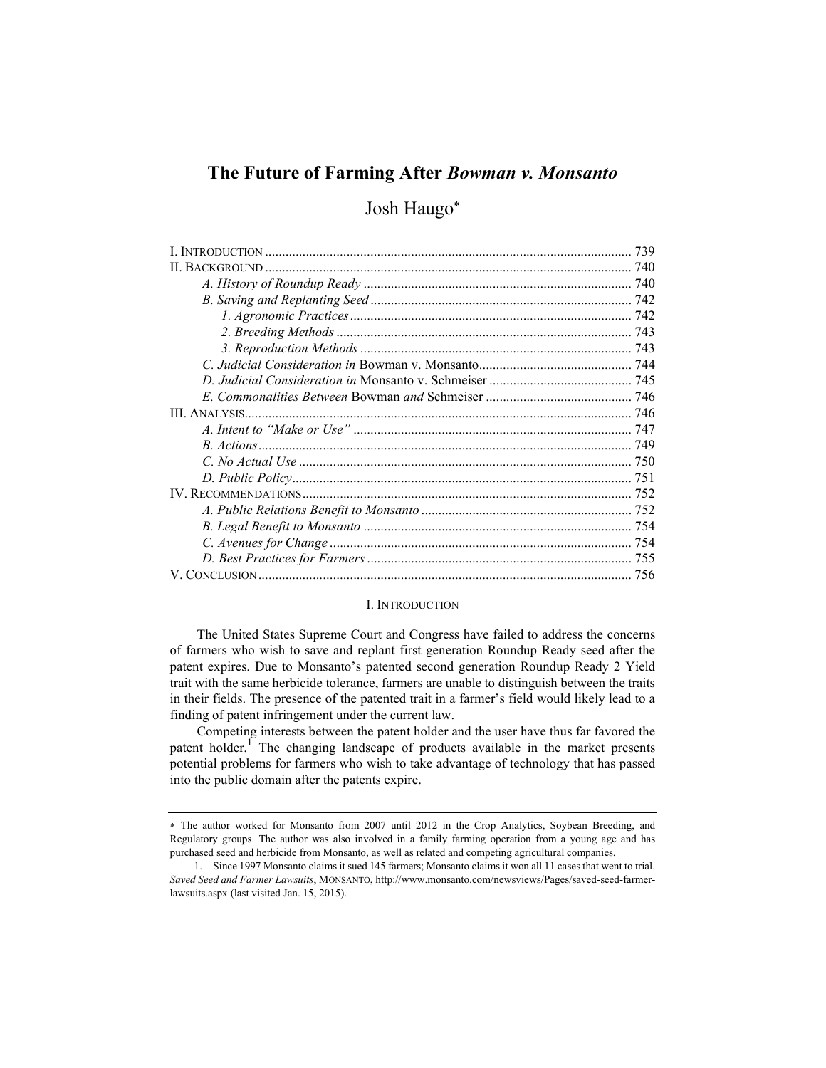# The Future of Farming After Bowman v. Monsanto

## Josh Haugo

#### I. INTRODUCTION

The United States Supreme Court and Congress have failed to address the concerns of farmers who wish to save and replant first generation Roundup Ready seed after the patent expires. Due to Monsanto's patented second generation Roundup Ready 2 Yield trait with the same herbicide tolerance, farmers are unable to distinguish between the traits in their fields. The presence of the patented trait in a farmer's field would likely lead to a finding of patent infringement under the current law.

Competing interests between the patent holder and the user have thus far favored the patent holder.<sup>1</sup> The changing landscape of products available in the market presents potential problems for farmers who wish to take advantage of technology that has passed into the public domain after the patents expire.

The author worked for Monsanto from 2007 until 2012 in the Crop Analytics, Soybean Breeding, and Regulatory groups. The author was also involved in a family farming operation from a young age and has purchased seed and herbicide from Monsanto, as well as related and competing agricultural companies.

 <sup>1.</sup> Since 1997 Monsanto claims it sued 145 farmers; Monsanto claims it won all 11 cases that went to trial. Saved Seed and Farmer Lawsuits, MONSANTO, http://www.monsanto.com/newsviews/Pages/saved-seed-farmerlawsuits.aspx (last visited Jan. 15, 2015).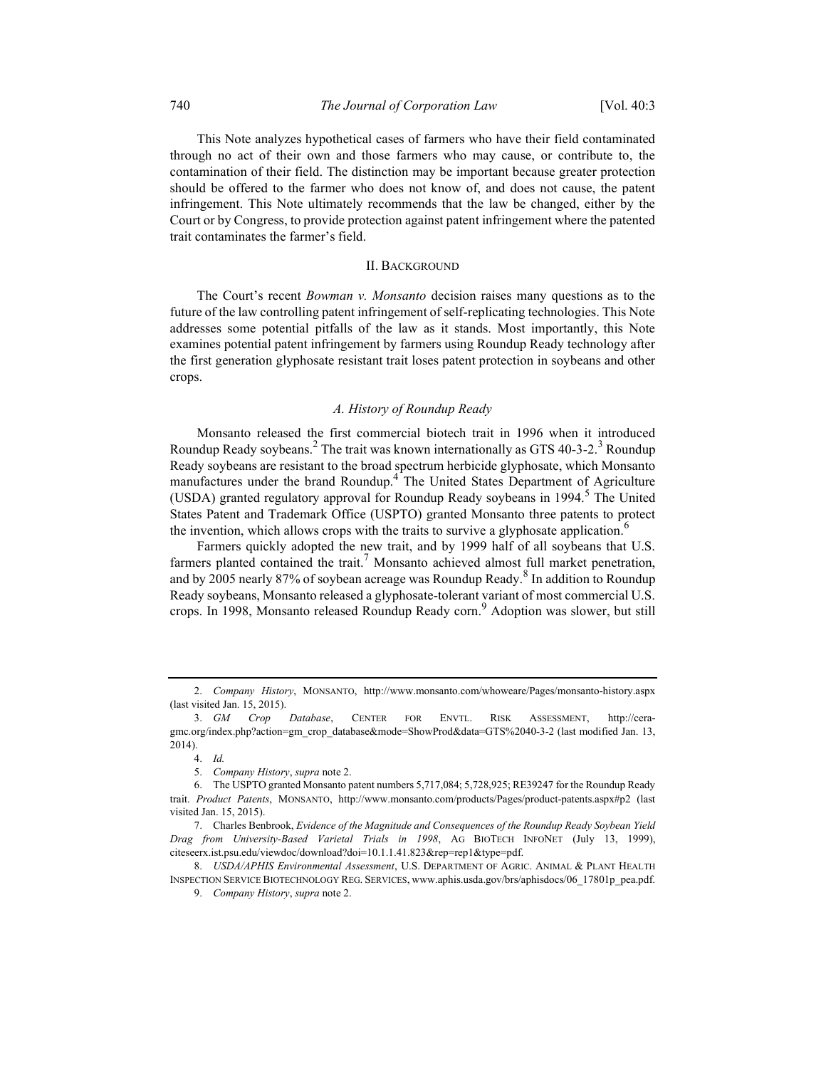This Note analyzes hypothetical cases of farmers who have their field contaminated through no act of their own and those farmers who may cause, or contribute to, the contamination of their field. The distinction may be important because greater protection should be offered to the farmer who does not know of, and does not cause, the patent infringement. This Note ultimately recommends that the law be changed, either by the Court or by Congress, to provide protection against patent infringement where the patented trait contaminates the farmer's field.

#### II. BACKGROUND

The Court's recent Bowman v. Monsanto decision raises many questions as to the future of the law controlling patent infringement of self-replicating technologies. This Note addresses some potential pitfalls of the law as it stands. Most importantly, this Note examines potential patent infringement by farmers using Roundup Ready technology after the first generation glyphosate resistant trait loses patent protection in soybeans and other crops.

#### A. History of Roundup Ready

Monsanto released the first commercial biotech trait in 1996 when it introduced Roundup Ready soybeans.<sup>2</sup> The trait was known internationally as GTS 40-3-2.<sup>3</sup> Roundup Ready soybeans are resistant to the broad spectrum herbicide glyphosate, which Monsanto manufactures under the brand Roundup.<sup>4</sup> The United States Department of Agriculture (USDA) granted regulatory approval for Roundup Ready soybeans in 1994.<sup>5</sup> The United States Patent and Trademark Office (USPTO) granted Monsanto three patents to protect the invention, which allows crops with the traits to survive a glyphosate application.<sup>6</sup>

Farmers quickly adopted the new trait, and by 1999 half of all soybeans that U.S. farmers planted contained the trait.<sup>7</sup> Monsanto achieved almost full market penetration, and by 2005 nearly 87% of soybean acreage was Roundup Ready.<sup>8</sup> In addition to Roundup Ready soybeans, Monsanto released a glyphosate-tolerant variant of most commercial U.S. crops. In 1998, Monsanto released Roundup Ready corn.<sup>9</sup> Adoption was slower, but still

 <sup>2.</sup> Company History, MONSANTO, http://www.monsanto.com/whoweare/Pages/monsanto-history.aspx (last visited Jan. 15, 2015).

 <sup>3.</sup> GM Crop Database, CENTER FOR ENVTL. RISK ASSESSMENT, http://ceragmc.org/index.php?action=gm\_crop\_database&mode=ShowProd&data=GTS%2040-3-2 (last modified Jan. 13, 2014).

 <sup>4.</sup> Id.

 <sup>5.</sup> Company History, supra note 2.

 <sup>6.</sup> The USPTO granted Monsanto patent numbers 5,717,084; 5,728,925; RE39247 for the Roundup Ready trait. Product Patents, MONSANTO, http://www.monsanto.com/products/Pages/product-patents.aspx#p2 (last visited Jan. 15, 2015).

 <sup>7.</sup> Charles Benbrook, Evidence of the Magnitude and Consequences of the Roundup Ready Soybean Yield Drag from University-Based Varietal Trials in 1998, AG BIOTECH INFONET (July 13, 1999), citeseerx.ist.psu.edu/viewdoc/download?doi=10.1.1.41.823&rep=rep1&type=pdf.

 <sup>8.</sup> USDA/APHIS Environmental Assessment, U.S. DEPARTMENT OF AGRIC. ANIMAL & PLANT HEALTH INSPECTION SERVICE BIOTECHNOLOGY REG. SERVICES, www.aphis.usda.gov/brs/aphisdocs/06\_17801p\_pea.pdf.

 <sup>9.</sup> Company History, supra note 2.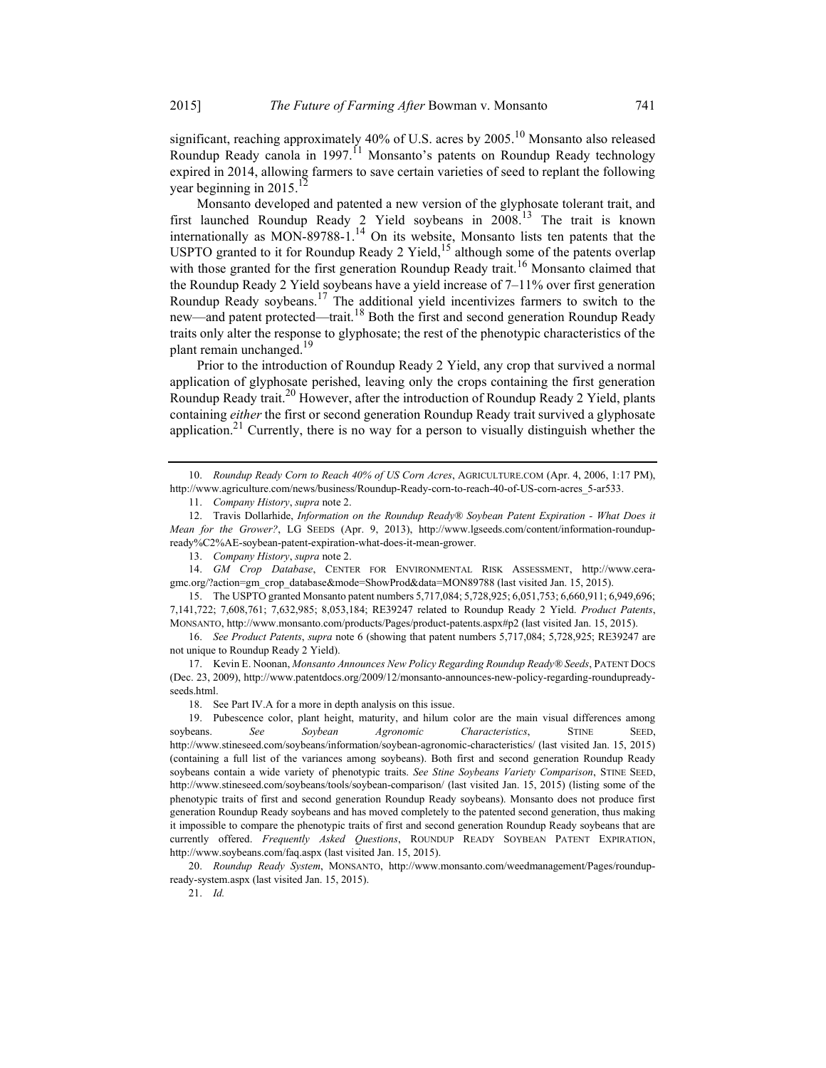significant, reaching approximately 40% of U.S. acres by  $2005$ .<sup>10</sup> Monsanto also released Roundup Ready canola in 1997.<sup>11</sup> Monsanto's patents on Roundup Ready technology expired in 2014, allowing farmers to save certain varieties of seed to replant the following year beginning in 2015.<sup>12</sup>

Monsanto developed and patented a new version of the glyphosate tolerant trait, and first launched Roundup Ready 2 Yield soybeans in 2008.<sup>13</sup> The trait is known internationally as MON-89788-1.<sup>14</sup> On its website, Monsanto lists ten patents that the USPTO granted to it for Roundup Ready 2 Yield,  $15$  although some of the patents overlap with those granted for the first generation Roundup Ready trait.<sup>16</sup> Monsanto claimed that the Roundup Ready 2 Yield soybeans have a yield increase of  $7-11\%$  over first generation Roundup Ready soybeans.<sup>17</sup> The additional yield incentivizes farmers to switch to the new—and patent protected—trait.<sup>18</sup> Both the first and second generation Roundup Ready traits only alter the response to glyphosate; the rest of the phenotypic characteristics of the plant remain unchanged.<sup>19</sup>

Prior to the introduction of Roundup Ready 2 Yield, any crop that survived a normal application of glyphosate perished, leaving only the crops containing the first generation Roundup Ready trait.<sup>20</sup> However, after the introduction of Roundup Ready 2 Yield, plants containing either the first or second generation Roundup Ready trait survived a glyphosate application.<sup>21</sup> Currently, there is no way for a person to visually distinguish whether the

10. Roundup Ready Corn to Reach 40% of US Corn Acres, AGRICULTURE.COM (Apr. 4, 2006, 1:17 PM), http://www.agriculture.com/news/business/Roundup-Ready-corn-to-reach-40-of-US-corn-acres\_5-ar533.

 15. The USPTO granted Monsanto patent numbers 5,717,084; 5,728,925; 6,051,753; 6,660,911; 6,949,696; 7,141,722; 7,608,761; 7,632,985; 8,053,184; RE39247 related to Roundup Ready 2 Yield. Product Patents, MONSANTO, http://www.monsanto.com/products/Pages/product-patents.aspx#p2 (last visited Jan. 15, 2015).

16. See Product Patents, supra note 6 (showing that patent numbers 5,717,084; 5,728,925; RE39247 are not unique to Roundup Ready 2 Yield).

17. Kevin E. Noonan, Monsanto Announces New Policy Regarding Roundup Ready® Seeds, PATENT DOCS (Dec. 23, 2009), http://www.patentdocs.org/2009/12/monsanto-announces-new-policy-regarding-roundupreadyseeds.html.

18. See Part IV.A for a more in depth analysis on this issue.

 19. Pubescence color, plant height, maturity, and hilum color are the main visual differences among soybeans. See Soybean Agronomic Characteristics, STINE SEED, http://www.stineseed.com/soybeans/information/soybean-agronomic-characteristics/ (last visited Jan. 15, 2015) (containing a full list of the variances among soybeans). Both first and second generation Roundup Ready soybeans contain a wide variety of phenotypic traits. See Stine Soybeans Variety Comparison, STINE SEED, http://www.stineseed.com/soybeans/tools/soybean-comparison/ (last visited Jan. 15, 2015) (listing some of the phenotypic traits of first and second generation Roundup Ready soybeans). Monsanto does not produce first generation Roundup Ready soybeans and has moved completely to the patented second generation, thus making it impossible to compare the phenotypic traits of first and second generation Roundup Ready soybeans that are currently offered. Frequently Asked Questions, ROUNDUP READY SOYBEAN PATENT EXPIRATION, http://www.soybeans.com/faq.aspx (last visited Jan. 15, 2015).

 20. Roundup Ready System, MONSANTO, http://www.monsanto.com/weedmanagement/Pages/roundupready-system.aspx (last visited Jan. 15, 2015).

21. Id.

 <sup>11.</sup> Company History, supra note 2.

<sup>12.</sup> Travis Dollarhide, Information on the Roundup Ready® Soybean Patent Expiration - What Does it Mean for the Grower?, LG SEEDS (Apr. 9, 2013), http://www.lgseeds.com/content/information-roundupready%C2%AE-soybean-patent-expiration-what-does-it-mean-grower.

<sup>13.</sup> Company History, supra note 2.

 <sup>14.</sup> GM Crop Database, CENTER FOR ENVIRONMENTAL RISK ASSESSMENT, http://www.ceragmc.org/?action=gm\_crop\_database&mode=ShowProd&data=MON89788 (last visited Jan. 15, 2015).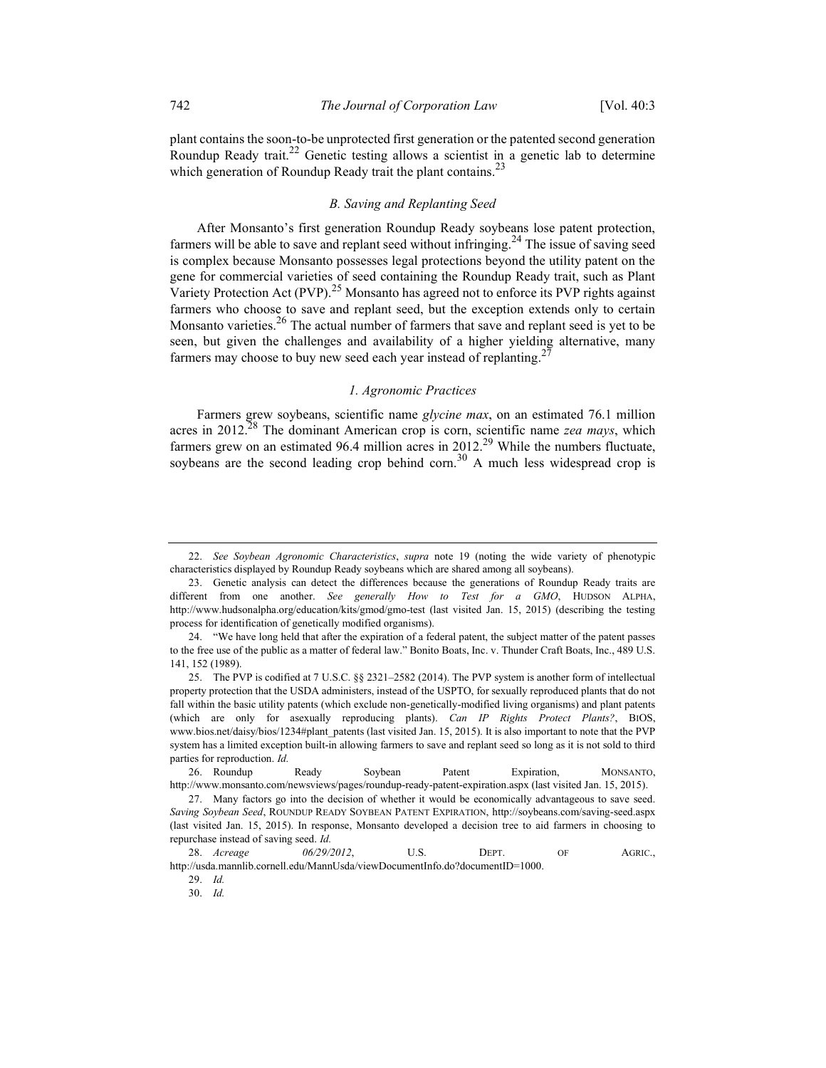plant contains the soon-to-be unprotected first generation or the patented second generation Roundup Ready trait.<sup>22</sup> Genetic testing allows a scientist in a genetic lab to determine which generation of Roundup Ready trait the plant contains.<sup>23</sup>

#### B. Saving and Replanting Seed

After Monsanto's first generation Roundup Ready soybeans lose patent protection, farmers will be able to save and replant seed without infringing.<sup>24</sup> The issue of saving seed is complex because Monsanto possesses legal protections beyond the utility patent on the gene for commercial varieties of seed containing the Roundup Ready trait, such as Plant Variety Protection Act (PVP).<sup>25</sup> Monsanto has agreed not to enforce its PVP rights against farmers who choose to save and replant seed, but the exception extends only to certain Monsanto varieties. $26$  The actual number of farmers that save and replant seed is yet to be seen, but given the challenges and availability of a higher yielding alternative, many farmers may choose to buy new seed each year instead of replanting.<sup>2</sup>

#### 1. Agronomic Practices

Farmers grew soybeans, scientific name glycine max, on an estimated 76.1 million acres in 2012.<sup>28</sup> The dominant American crop is corn, scientific name zea mays, which farmers grew on an estimated 96.4 million acres in  $2012<sup>29</sup>$  While the numbers fluctuate, soybeans are the second leading crop behind corn.<sup>30</sup> A much less widespread crop is

 <sup>22.</sup> See Soybean Agronomic Characteristics, supra note 19 (noting the wide variety of phenotypic characteristics displayed by Roundup Ready soybeans which are shared among all soybeans).

 <sup>23.</sup> Genetic analysis can detect the differences because the generations of Roundup Ready traits are different from one another. See generally How to Test for a GMO, HUDSON ALPHA, http://www.hudsonalpha.org/education/kits/gmod/gmo-test (last visited Jan. 15, 2015) (describing the testing process for identification of genetically modified organisms).

 <sup>24. &</sup>quot;We have long held that after the expiration of a federal patent, the subject matter of the patent passes to the free use of the public as a matter of federal law." Bonito Boats, Inc. v. Thunder Craft Boats, Inc., 489 U.S. 141, 152 (1989).

 <sup>25.</sup> The PVP is codified at 7 U.S.C. §§ 2321–2582 (2014). The PVP system is another form of intellectual property protection that the USDA administers, instead of the USPTO, for sexually reproduced plants that do not fall within the basic utility patents (which exclude non-genetically-modified living organisms) and plant patents (which are only for asexually reproducing plants). Can IP Rights Protect Plants?, BIOS, www.bios.net/daisy/bios/1234#plant\_patents (last visited Jan. 15, 2015). It is also important to note that the PVP system has a limited exception built-in allowing farmers to save and replant seed so long as it is not sold to third parties for reproduction. Id.

 <sup>26.</sup> Roundup Ready Soybean Patent Expiration, MONSANTO, http://www.monsanto.com/newsviews/pages/roundup-ready-patent-expiration.aspx (last visited Jan. 15, 2015).

 <sup>27.</sup> Many factors go into the decision of whether it would be economically advantageous to save seed. Saving Soybean Seed, ROUNDUP READY SOYBEAN PATENT EXPIRATION, http://soybeans.com/saving-seed.aspx (last visited Jan. 15, 2015). In response, Monsanto developed a decision tree to aid farmers in choosing to repurchase instead of saving seed. Id.

<sup>28.</sup> *Acreage* 06/29/2012, U.S. DEPT. OF AGRIC., http://usda.mannlib.cornell.edu/MannUsda/viewDocumentInfo.do?documentID=1000.

 <sup>29.</sup> Id.

 <sup>30.</sup> Id.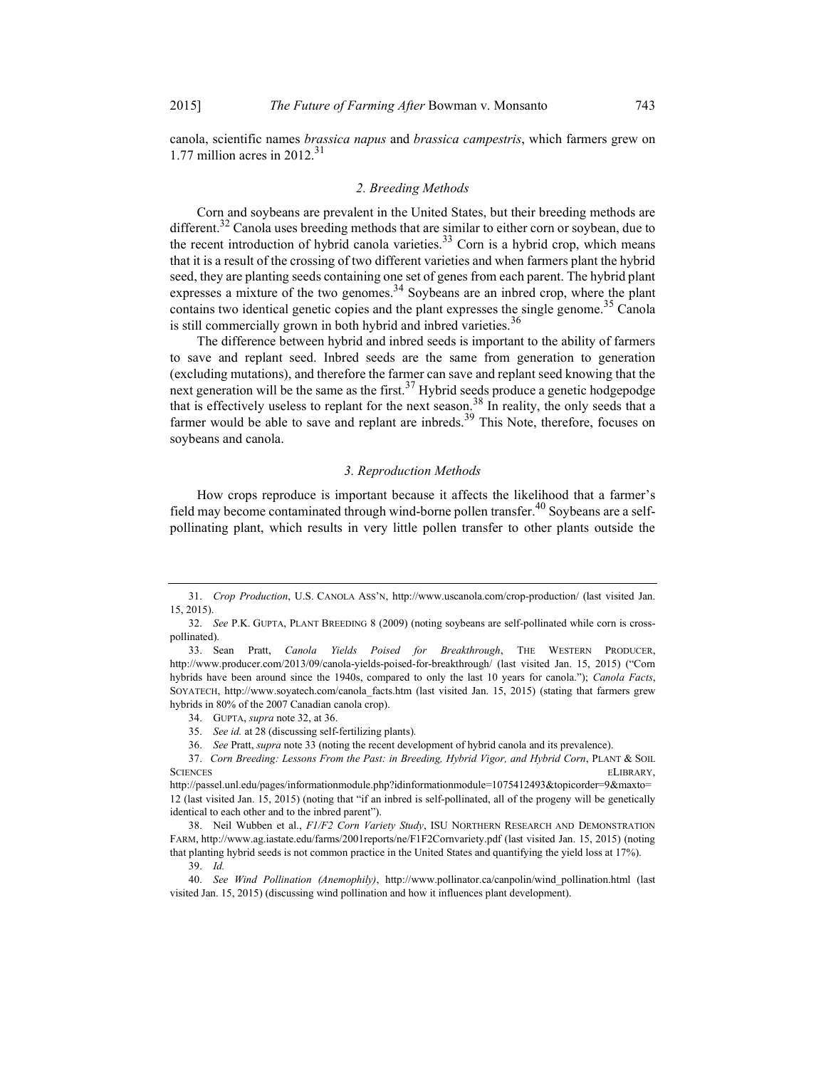canola, scientific names brassica napus and brassica campestris, which farmers grew on 1.77 million acres in  $2012.^{31}$ 

#### 2. Breeding Methods

Corn and soybeans are prevalent in the United States, but their breeding methods are different.<sup>32</sup> Canola uses breeding methods that are similar to either corn or soybean, due to the recent introduction of hybrid canola varieties.<sup>33</sup> Corn is a hybrid crop, which means that it is a result of the crossing of two different varieties and when farmers plant the hybrid seed, they are planting seeds containing one set of genes from each parent. The hybrid plant expresses a mixture of the two genomes.<sup>34</sup> Soybeans are an inbred crop, where the plant contains two identical genetic copies and the plant expresses the single genome.<sup>35</sup> Canola is still commercially grown in both hybrid and inbred varieties.<sup>36</sup>

The difference between hybrid and inbred seeds is important to the ability of farmers to save and replant seed. Inbred seeds are the same from generation to generation (excluding mutations), and therefore the farmer can save and replant seed knowing that the next generation will be the same as the first.<sup>37</sup> Hybrid seeds produce a genetic hodgepodge that is effectively useless to replant for the next season.<sup>38</sup> In reality, the only seeds that a farmer would be able to save and replant are inbreds.<sup>39</sup> This Note, therefore, focuses on soybeans and canola.

#### 3. Reproduction Methods

How crops reproduce is important because it affects the likelihood that a farmer's field may become contaminated through wind-borne pollen transfer.<sup>40</sup> Soybeans are a selfpollinating plant, which results in very little pollen transfer to other plants outside the

 <sup>31.</sup> Crop Production, U.S. CANOLA ASS'N, http://www.uscanola.com/crop-production/ (last visited Jan. 15, 2015).

 <sup>32.</sup> See P.K. GUPTA, PLANT BREEDING 8 (2009) (noting soybeans are self-pollinated while corn is crosspollinated).

 <sup>33.</sup> Sean Pratt, Canola Yields Poised for Breakthrough, THE WESTERN PRODUCER, http://www.producer.com/2013/09/canola-yields-poised-for-breakthrough/ (last visited Jan. 15, 2015) ("Corn hybrids have been around since the 1940s, compared to only the last 10 years for canola."); Canola Facts, SOYATECH, http://www.soyatech.com/canola\_facts.htm (last visited Jan. 15, 2015) (stating that farmers grew hybrids in 80% of the 2007 Canadian canola crop).

 <sup>34.</sup> GUPTA, supra note 32, at 36.

 <sup>35.</sup> See id. at 28 (discussing self-fertilizing plants).

 <sup>36.</sup> See Pratt, supra note 33 (noting the recent development of hybrid canola and its prevalence).

 <sup>37.</sup> Corn Breeding: Lessons From the Past: in Breeding, Hybrid Vigor, and Hybrid Corn, PLANT & SOIL SCIENCES ELIBRARY,

http://passel.unl.edu/pages/informationmodule.php?idinformationmodule=1075412493&topicorder=9&maxto= 12 (last visited Jan. 15, 2015) (noting that "if an inbred is self-pollinated, all of the progeny will be genetically identical to each other and to the inbred parent").

 <sup>38.</sup> Neil Wubben et al., F1/F2 Corn Variety Study, ISU NORTHERN RESEARCH AND DEMONSTRATION FARM, http://www.ag.iastate.edu/farms/2001reports/ne/F1F2Cornvariety.pdf (last visited Jan. 15, 2015) (noting that planting hybrid seeds is not common practice in the United States and quantifying the yield loss at 17%).

 <sup>39.</sup> Id.

 <sup>40.</sup> See Wind Pollination (Anemophily), http://www.pollinator.ca/canpolin/wind\_pollination.html (last visited Jan. 15, 2015) (discussing wind pollination and how it influences plant development).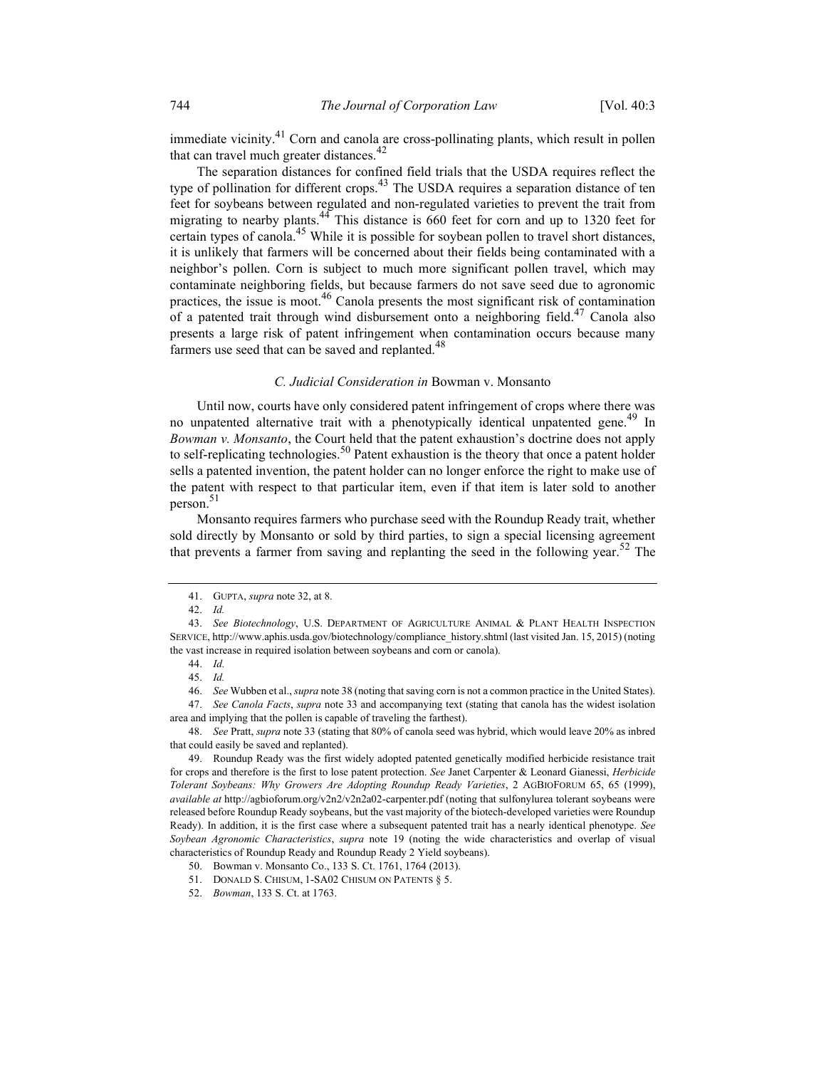immediate vicinity.<sup>41</sup> Corn and canola are cross-pollinating plants, which result in pollen that can travel much greater distances. $^{42}$ 

The separation distances for confined field trials that the USDA requires reflect the type of pollination for different crops.<sup>43</sup> The USDA requires a separation distance of ten feet for soybeans between regulated and non-regulated varieties to prevent the trait from migrating to nearby plants.<sup>44</sup> This distance is 660 feet for corn and up to 1320 feet for certain types of canola.<sup>45</sup> While it is possible for soybean pollen to travel short distances, it is unlikely that farmers will be concerned about their fields being contaminated with a neighbor's pollen. Corn is subject to much more significant pollen travel, which may contaminate neighboring fields, but because farmers do not save seed due to agronomic practices, the issue is moot.<sup>46</sup> Canola presents the most significant risk of contamination of a patented trait through wind disbursement onto a neighboring field.<sup>47</sup> Canola also presents a large risk of patent infringement when contamination occurs because many farmers use seed that can be saved and replanted. $48$ 

#### C. Judicial Consideration in Bowman v. Monsanto

Until now, courts have only considered patent infringement of crops where there was no unpatented alternative trait with a phenotypically identical unpatented gene.<sup>49</sup> In Bowman v. Monsanto, the Court held that the patent exhaustion's doctrine does not apply to self-replicating technologies.<sup>50</sup> Patent exhaustion is the theory that once a patent holder sells a patented invention, the patent holder can no longer enforce the right to make use of the patent with respect to that particular item, even if that item is later sold to another person. $51$ 

Monsanto requires farmers who purchase seed with the Roundup Ready trait, whether sold directly by Monsanto or sold by third parties, to sign a special licensing agreement that prevents a farmer from saving and replanting the seed in the following year.<sup>52</sup> The

 48. See Pratt, supra note 33 (stating that 80% of canola seed was hybrid, which would leave 20% as inbred that could easily be saved and replanted).

51. DONALD S. CHISUM, 1-SA02 CHISUM ON PATENTS § 5.

 <sup>41.</sup> GUPTA, supra note 32, at 8.

 <sup>42.</sup> Id.

<sup>43.</sup> See Biotechnology, U.S. DEPARTMENT OF AGRICULTURE ANIMAL & PLANT HEALTH INSPECTION SERVICE, http://www.aphis.usda.gov/biotechnology/compliance\_history.shtml (last visited Jan. 15, 2015) (noting the vast increase in required isolation between soybeans and corn or canola).

 <sup>44.</sup> Id.

 <sup>45.</sup> Id.

 <sup>46.</sup> See Wubben et al., supra note 38 (noting that saving corn is not a common practice in the United States).

 <sup>47.</sup> See Canola Facts, supra note 33 and accompanying text (stating that canola has the widest isolation area and implying that the pollen is capable of traveling the farthest).

 <sup>49.</sup> Roundup Ready was the first widely adopted patented genetically modified herbicide resistance trait for crops and therefore is the first to lose patent protection. See Janet Carpenter & Leonard Gianessi, Herbicide Tolerant Soybeans: Why Growers Are Adopting Roundup Ready Varieties, 2 AGBIOFORUM 65, 65 (1999), available at http://agbioforum.org/v2n2/v2n2a02-carpenter.pdf (noting that sulfonylurea tolerant soybeans were released before Roundup Ready soybeans, but the vast majority of the biotech-developed varieties were Roundup Ready). In addition, it is the first case where a subsequent patented trait has a nearly identical phenotype. See Soybean Agronomic Characteristics, supra note 19 (noting the wide characteristics and overlap of visual characteristics of Roundup Ready and Roundup Ready 2 Yield soybeans).

 <sup>50.</sup> Bowman v. Monsanto Co., 133 S. Ct. 1761, 1764 (2013).

 <sup>52.</sup> Bowman, 133 S. Ct. at 1763.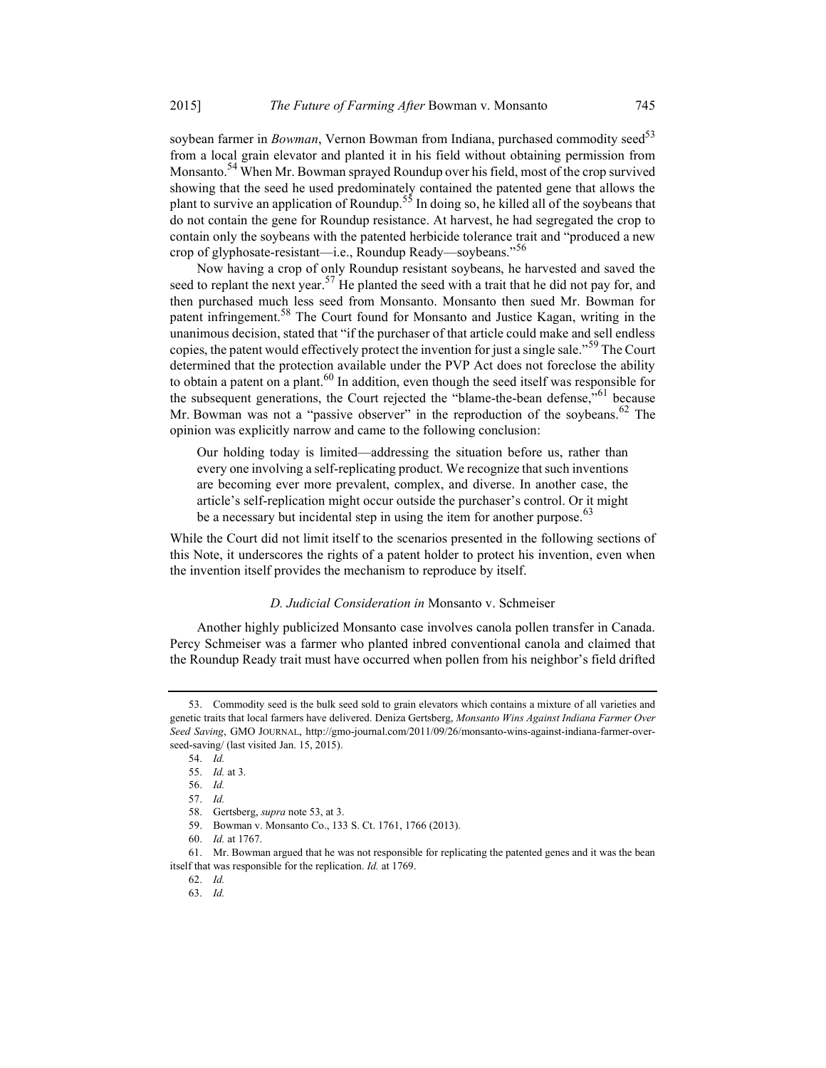soybean farmer in Bowman, Vernon Bowman from Indiana, purchased commodity seed<sup>53</sup> from a local grain elevator and planted it in his field without obtaining permission from Monsanto.<sup>54</sup> When Mr. Bowman sprayed Roundup over his field, most of the crop survived showing that the seed he used predominately contained the patented gene that allows the plant to survive an application of Roundup.<sup>55</sup> In doing so, he killed all of the soybeans that do not contain the gene for Roundup resistance. At harvest, he had segregated the crop to contain only the soybeans with the patented herbicide tolerance trait and "produced a new crop of glyphosate-resistant—i.e., Roundup Ready—soybeans."<sup>56</sup>

Now having a crop of only Roundup resistant soybeans, he harvested and saved the seed to replant the next year.<sup>57</sup> He planted the seed with a trait that he did not pay for, and then purchased much less seed from Monsanto. Monsanto then sued Mr. Bowman for patent infringement.<sup>58</sup> The Court found for Monsanto and Justice Kagan, writing in the unanimous decision, stated that "if the purchaser of that article could make and sell endless copies, the patent would effectively protect the invention for just a single sale."<sup>59</sup> The Court determined that the protection available under the PVP Act does not foreclose the ability to obtain a patent on a plant.  $60$  In addition, even though the seed itself was responsible for the subsequent generations, the Court rejected the "blame-the-bean defense,"<sup>61</sup> because Mr. Bowman was not a "passive observer" in the reproduction of the soybeans.<sup>62</sup> The opinion was explicitly narrow and came to the following conclusion:

Our holding today is limited—addressing the situation before us, rather than every one involving a self-replicating product. We recognize that such inventions are becoming ever more prevalent, complex, and diverse. In another case, the article's self-replication might occur outside the purchaser's control. Or it might be a necessary but incidental step in using the item for another purpose.<sup>63</sup>

While the Court did not limit itself to the scenarios presented in the following sections of this Note, it underscores the rights of a patent holder to protect his invention, even when the invention itself provides the mechanism to reproduce by itself.

#### D. Judicial Consideration in Monsanto v. Schmeiser

Another highly publicized Monsanto case involves canola pollen transfer in Canada. Percy Schmeiser was a farmer who planted inbred conventional canola and claimed that the Roundup Ready trait must have occurred when pollen from his neighbor's field drifted

 <sup>53.</sup> Commodity seed is the bulk seed sold to grain elevators which contains a mixture of all varieties and genetic traits that local farmers have delivered. Deniza Gertsberg, Monsanto Wins Against Indiana Farmer Over Seed Saving, GMO JOURNAL, http://gmo-journal.com/2011/09/26/monsanto-wins-against-indiana-farmer-overseed-saving/ (last visited Jan. 15, 2015).

 <sup>54.</sup> Id.

 <sup>55.</sup> Id. at 3.

 <sup>56.</sup> Id.

 <sup>57.</sup> Id.

 <sup>58.</sup> Gertsberg, supra note 53, at 3.

 <sup>59.</sup> Bowman v. Monsanto Co., 133 S. Ct. 1761, 1766 (2013).

 <sup>60.</sup> Id. at 1767.

 <sup>61.</sup> Mr. Bowman argued that he was not responsible for replicating the patented genes and it was the bean itself that was responsible for the replication. Id. at 1769.

 <sup>62.</sup> Id.

 <sup>63.</sup> Id.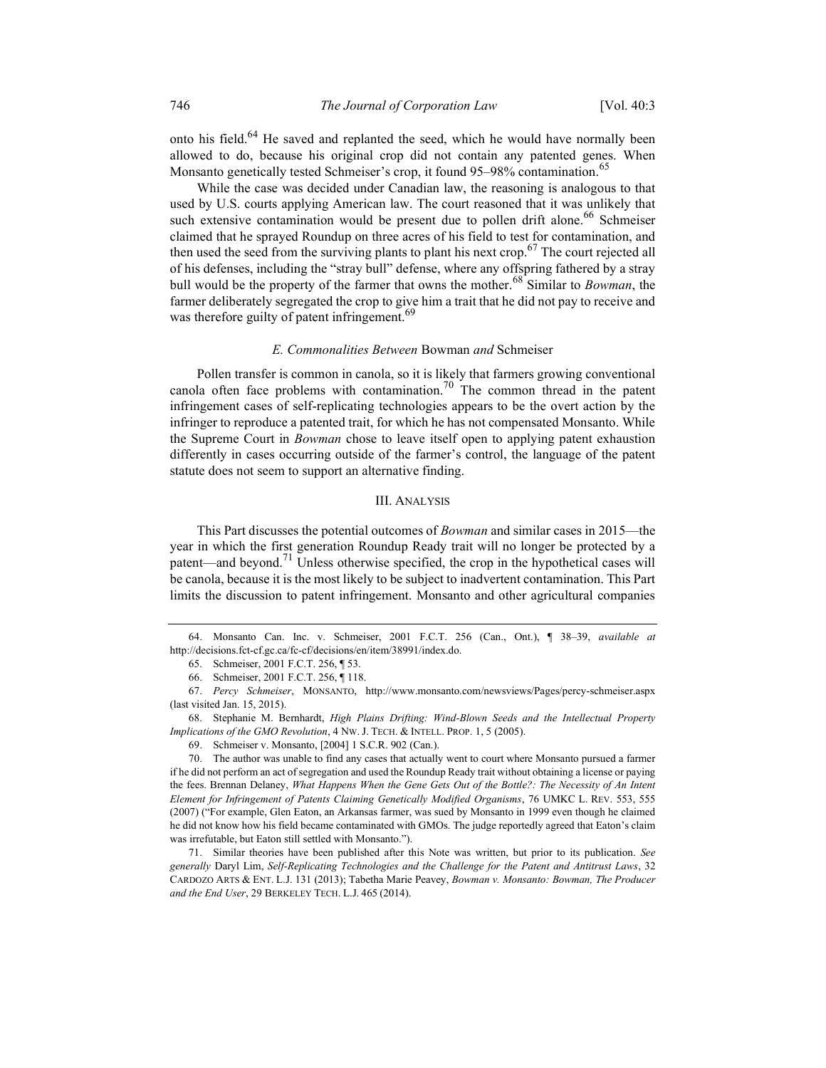onto his field.<sup>64</sup> He saved and replanted the seed, which he would have normally been allowed to do, because his original crop did not contain any patented genes. When Monsanto genetically tested Schmeiser's crop, it found 95–98% contamination.<sup>65</sup>

While the case was decided under Canadian law, the reasoning is analogous to that used by U.S. courts applying American law. The court reasoned that it was unlikely that such extensive contamination would be present due to pollen drift alone.<sup>66</sup> Schmeiser claimed that he sprayed Roundup on three acres of his field to test for contamination, and then used the seed from the surviving plants to plant his next crop.<sup>67</sup> The court rejected all of his defenses, including the "stray bull" defense, where any offspring fathered by a stray bull would be the property of the farmer that owns the mother.<sup>68</sup> Similar to *Bowman*, the farmer deliberately segregated the crop to give him a trait that he did not pay to receive and was therefore guilty of patent infringement.<sup>69</sup>

#### E. Commonalities Between Bowman and Schmeiser

Pollen transfer is common in canola, so it is likely that farmers growing conventional canola often face problems with contamination.<sup>70</sup> The common thread in the patent infringement cases of self-replicating technologies appears to be the overt action by the infringer to reproduce a patented trait, for which he has not compensated Monsanto. While the Supreme Court in *Bowman* chose to leave itself open to applying patent exhaustion differently in cases occurring outside of the farmer's control, the language of the patent statute does not seem to support an alternative finding.

#### III. ANALYSIS

This Part discusses the potential outcomes of Bowman and similar cases in 2015—the year in which the first generation Roundup Ready trait will no longer be protected by a patent—and beyond.<sup>71</sup> Unless otherwise specified, the crop in the hypothetical cases will be canola, because it is the most likely to be subject to inadvertent contamination. This Part limits the discussion to patent infringement. Monsanto and other agricultural companies

 <sup>64.</sup> Monsanto Can. Inc. v. Schmeiser, 2001 F.C.T. 256 (Can., Ont.), ¶ 38–39, available at http://decisions.fct-cf.gc.ca/fc-cf/decisions/en/item/38991/index.do.

 <sup>65.</sup> Schmeiser, 2001 F.C.T. 256, ¶ 53.

 <sup>66.</sup> Schmeiser, 2001 F.C.T. 256, ¶ 118.

 <sup>67.</sup> Percy Schmeiser, MONSANTO, http://www.monsanto.com/newsviews/Pages/percy-schmeiser.aspx (last visited Jan. 15, 2015).

 <sup>68.</sup> Stephanie M. Bernhardt, High Plains Drifting: Wind-Blown Seeds and the Intellectual Property Implications of the GMO Revolution, 4 NW. J. TECH. & INTELL. PROP. 1, 5 (2005).

 <sup>69.</sup> Schmeiser v. Monsanto, [2004] 1 S.C.R. 902 (Can.).

 <sup>70.</sup> The author was unable to find any cases that actually went to court where Monsanto pursued a farmer if he did not perform an act of segregation and used the Roundup Ready trait without obtaining a license or paying the fees. Brennan Delaney, What Happens When the Gene Gets Out of the Bottle?: The Necessity of An Intent Element for Infringement of Patents Claiming Genetically Modified Organisms, 76 UMKC L. REV. 553, 555 (2007) ("For example, Glen Eaton, an Arkansas farmer, was sued by Monsanto in 1999 even though he claimed he did not know how his field became contaminated with GMOs. The judge reportedly agreed that Eaton's claim was irrefutable, but Eaton still settled with Monsanto.").

 <sup>71.</sup> Similar theories have been published after this Note was written, but prior to its publication. See generally Daryl Lim, Self-Replicating Technologies and the Challenge for the Patent and Antitrust Laws, 32 CARDOZO ARTS & ENT. L.J. 131 (2013); Tabetha Marie Peavey, Bowman v. Monsanto: Bowman, The Producer and the End User, 29 BERKELEY TECH. L.J. 465 (2014).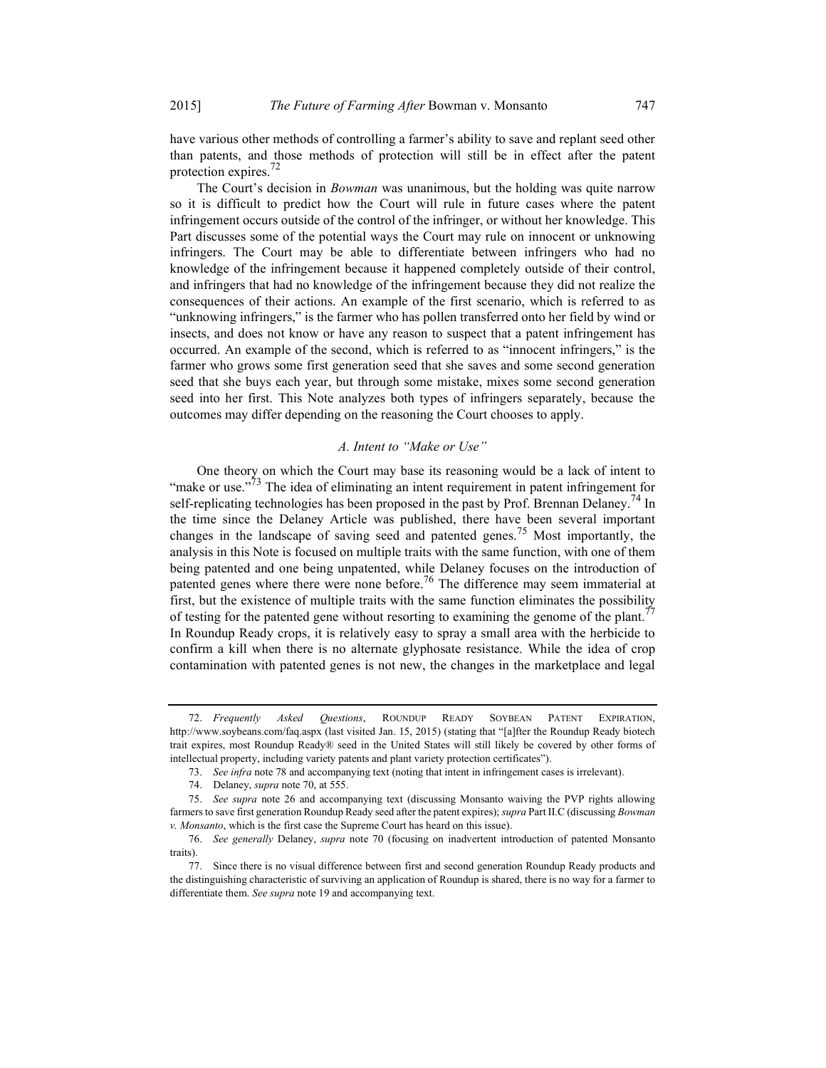have various other methods of controlling a farmer's ability to save and replant seed other than patents, and those methods of protection will still be in effect after the patent protection expires.<sup>72</sup>

The Court's decision in *Bowman* was unanimous, but the holding was quite narrow so it is difficult to predict how the Court will rule in future cases where the patent infringement occurs outside of the control of the infringer, or without her knowledge. This Part discusses some of the potential ways the Court may rule on innocent or unknowing infringers. The Court may be able to differentiate between infringers who had no knowledge of the infringement because it happened completely outside of their control, and infringers that had no knowledge of the infringement because they did not realize the consequences of their actions. An example of the first scenario, which is referred to as "unknowing infringers," is the farmer who has pollen transferred onto her field by wind or insects, and does not know or have any reason to suspect that a patent infringement has occurred. An example of the second, which is referred to as "innocent infringers," is the farmer who grows some first generation seed that she saves and some second generation seed that she buys each year, but through some mistake, mixes some second generation seed into her first. This Note analyzes both types of infringers separately, because the outcomes may differ depending on the reasoning the Court chooses to apply.

### A. Intent to "Make or Use"

One theory on which the Court may base its reasoning would be a lack of intent to "make or use."<sup>73</sup> The idea of eliminating an intent requirement in patent infringement for self-replicating technologies has been proposed in the past by Prof. Brennan Delaney.<sup>74</sup> In the time since the Delaney Article was published, there have been several important changes in the landscape of saving seed and patented genes.<sup>75</sup> Most importantly, the analysis in this Note is focused on multiple traits with the same function, with one of them being patented and one being unpatented, while Delaney focuses on the introduction of patented genes where there were none before.<sup>76</sup> The difference may seem immaterial at first, but the existence of multiple traits with the same function eliminates the possibility of testing for the patented gene without resorting to examining the genome of the plant.<sup>77</sup> In Roundup Ready crops, it is relatively easy to spray a small area with the herbicide to confirm a kill when there is no alternate glyphosate resistance. While the idea of crop contamination with patented genes is not new, the changes in the marketplace and legal

 <sup>72.</sup> Frequently Asked Questions, ROUNDUP READY SOYBEAN PATENT EXPIRATION, http://www.soybeans.com/faq.aspx (last visited Jan. 15, 2015) (stating that "[a]fter the Roundup Ready biotech trait expires, most Roundup Ready® seed in the United States will still likely be covered by other forms of intellectual property, including variety patents and plant variety protection certificates").

 <sup>73.</sup> See infra note 78 and accompanying text (noting that intent in infringement cases is irrelevant).

<sup>74.</sup> Delaney, *supra* note 70, at 555.

 <sup>75.</sup> See supra note 26 and accompanying text (discussing Monsanto waiving the PVP rights allowing farmers to save first generation Roundup Ready seed after the patent expires); supra Part II.C (discussing Bowman v. Monsanto, which is the first case the Supreme Court has heard on this issue).

 <sup>76.</sup> See generally Delaney, supra note 70 (focusing on inadvertent introduction of patented Monsanto traits).

 <sup>77.</sup> Since there is no visual difference between first and second generation Roundup Ready products and the distinguishing characteristic of surviving an application of Roundup is shared, there is no way for a farmer to differentiate them. See supra note 19 and accompanying text.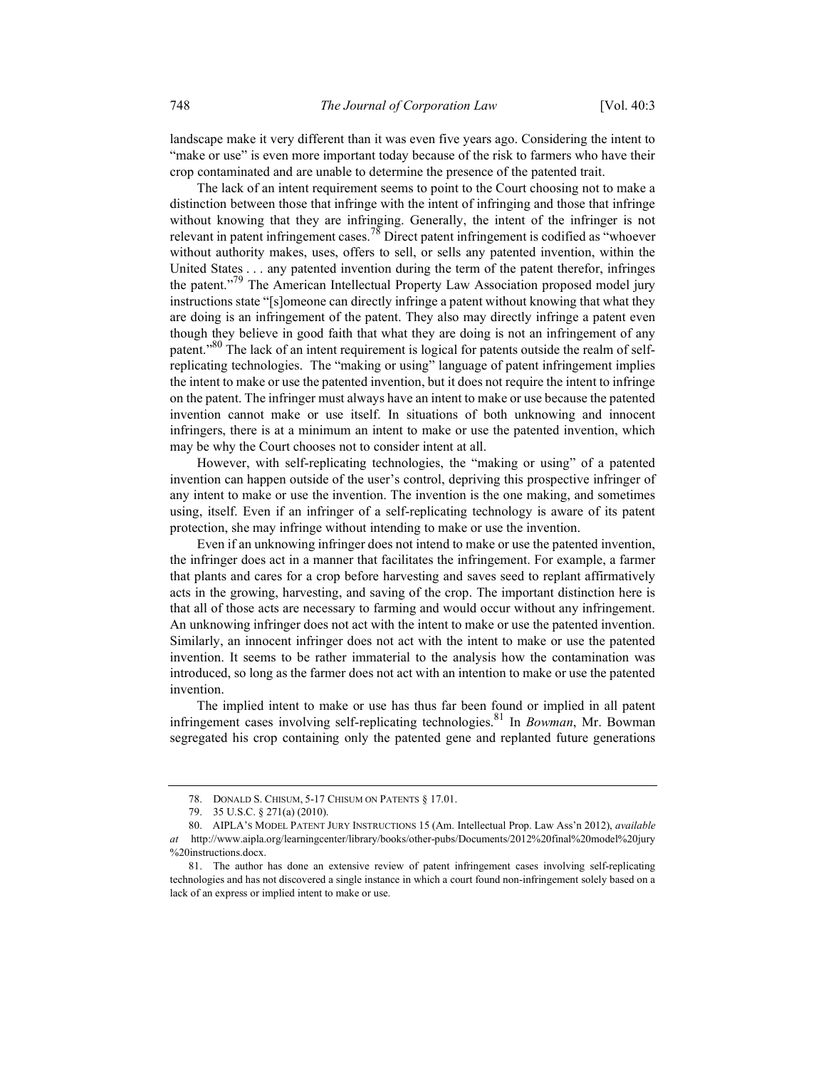landscape make it very different than it was even five years ago. Considering the intent to "make or use" is even more important today because of the risk to farmers who have their crop contaminated and are unable to determine the presence of the patented trait.

The lack of an intent requirement seems to point to the Court choosing not to make a distinction between those that infringe with the intent of infringing and those that infringe without knowing that they are infringing. Generally, the intent of the infringer is not relevant in patent infringement cases.<sup>78</sup> Direct patent infringement is codified as "whoever without authority makes, uses, offers to sell, or sells any patented invention, within the United States . . . any patented invention during the term of the patent therefor, infringes the patent."79 The American Intellectual Property Law Association proposed model jury instructions state "[s]omeone can directly infringe a patent without knowing that what they are doing is an infringement of the patent. They also may directly infringe a patent even though they believe in good faith that what they are doing is not an infringement of any patent."<sup>80</sup> The lack of an intent requirement is logical for patents outside the realm of selfreplicating technologies. The "making or using" language of patent infringement implies the intent to make or use the patented invention, but it does not require the intent to infringe on the patent. The infringer must always have an intent to make or use because the patented invention cannot make or use itself. In situations of both unknowing and innocent infringers, there is at a minimum an intent to make or use the patented invention, which may be why the Court chooses not to consider intent at all.

However, with self-replicating technologies, the "making or using" of a patented invention can happen outside of the user's control, depriving this prospective infringer of any intent to make or use the invention. The invention is the one making, and sometimes using, itself. Even if an infringer of a self-replicating technology is aware of its patent protection, she may infringe without intending to make or use the invention.

Even if an unknowing infringer does not intend to make or use the patented invention, the infringer does act in a manner that facilitates the infringement. For example, a farmer that plants and cares for a crop before harvesting and saves seed to replant affirmatively acts in the growing, harvesting, and saving of the crop. The important distinction here is that all of those acts are necessary to farming and would occur without any infringement. An unknowing infringer does not act with the intent to make or use the patented invention. Similarly, an innocent infringer does not act with the intent to make or use the patented invention. It seems to be rather immaterial to the analysis how the contamination was introduced, so long as the farmer does not act with an intention to make or use the patented invention.

The implied intent to make or use has thus far been found or implied in all patent infringement cases involving self-replicating technologies.<sup>81</sup> In *Bowman*, Mr. Bowman segregated his crop containing only the patented gene and replanted future generations

 <sup>78.</sup> DONALD S. CHISUM, 5-17 CHISUM ON PATENTS § 17.01.

 <sup>79. 35</sup> U.S.C. § 271(a) (2010).

 <sup>80.</sup> AIPLA'S MODEL PATENT JURY INSTRUCTIONS 15 (Am. Intellectual Prop. Law Ass'n 2012), available at http://www.aipla.org/learningcenter/library/books/other-pubs/Documents/2012%20final%20model%20jury %20instructions.docx.

 <sup>81.</sup> The author has done an extensive review of patent infringement cases involving self-replicating technologies and has not discovered a single instance in which a court found non-infringement solely based on a lack of an express or implied intent to make or use.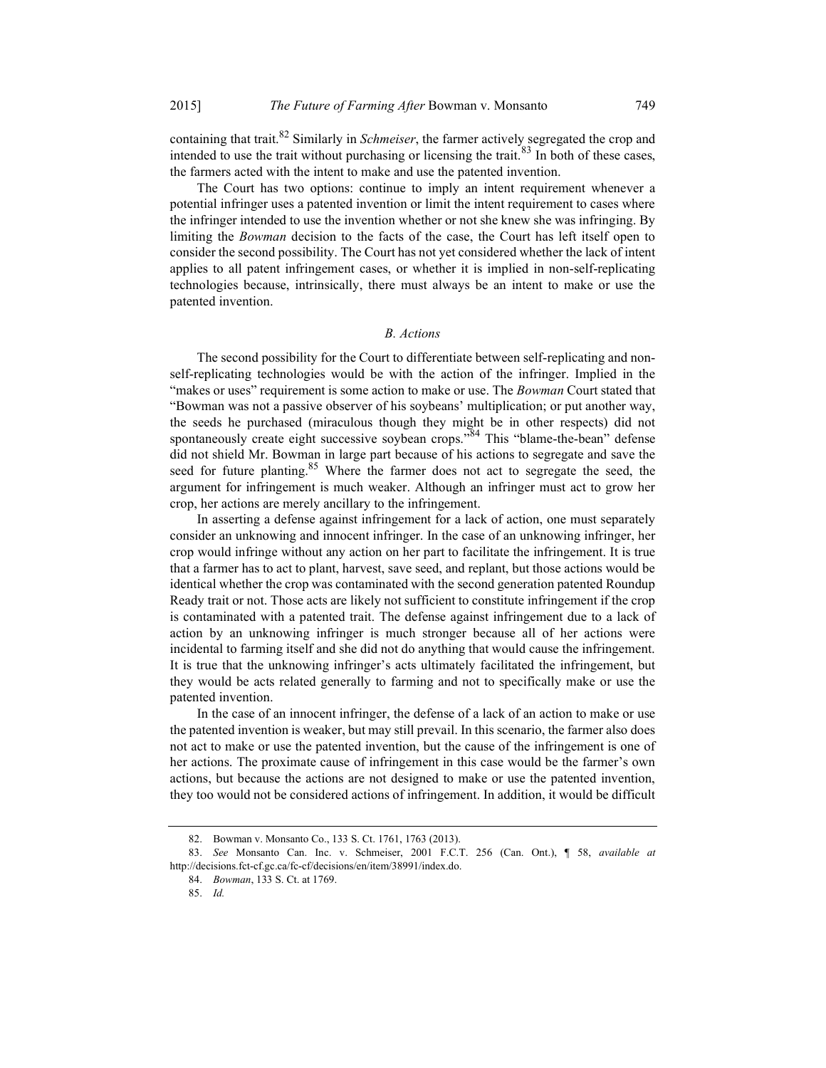containing that trait. $82$  Similarly in *Schmeiser*, the farmer actively segregated the crop and intended to use the trait without purchasing or licensing the trait. $83$  In both of these cases, the farmers acted with the intent to make and use the patented invention.

The Court has two options: continue to imply an intent requirement whenever a potential infringer uses a patented invention or limit the intent requirement to cases where the infringer intended to use the invention whether or not she knew she was infringing. By limiting the Bowman decision to the facts of the case, the Court has left itself open to consider the second possibility. The Court has not yet considered whether the lack of intent applies to all patent infringement cases, or whether it is implied in non-self-replicating technologies because, intrinsically, there must always be an intent to make or use the patented invention.

#### B. Actions

The second possibility for the Court to differentiate between self-replicating and nonself-replicating technologies would be with the action of the infringer. Implied in the "makes or uses" requirement is some action to make or use. The Bowman Court stated that "Bowman was not a passive observer of his soybeans' multiplication; or put another way, the seeds he purchased (miraculous though they might be in other respects) did not spontaneously create eight successive soybean crops."<sup>84</sup> This "blame-the-bean" defense did not shield Mr. Bowman in large part because of his actions to segregate and save the seed for future planting.<sup>85</sup> Where the farmer does not act to segregate the seed, the argument for infringement is much weaker. Although an infringer must act to grow her crop, her actions are merely ancillary to the infringement.

In asserting a defense against infringement for a lack of action, one must separately consider an unknowing and innocent infringer. In the case of an unknowing infringer, her crop would infringe without any action on her part to facilitate the infringement. It is true that a farmer has to act to plant, harvest, save seed, and replant, but those actions would be identical whether the crop was contaminated with the second generation patented Roundup Ready trait or not. Those acts are likely not sufficient to constitute infringement if the crop is contaminated with a patented trait. The defense against infringement due to a lack of action by an unknowing infringer is much stronger because all of her actions were incidental to farming itself and she did not do anything that would cause the infringement. It is true that the unknowing infringer's acts ultimately facilitated the infringement, but they would be acts related generally to farming and not to specifically make or use the patented invention.

In the case of an innocent infringer, the defense of a lack of an action to make or use the patented invention is weaker, but may still prevail. In this scenario, the farmer also does not act to make or use the patented invention, but the cause of the infringement is one of her actions. The proximate cause of infringement in this case would be the farmer's own actions, but because the actions are not designed to make or use the patented invention, they too would not be considered actions of infringement. In addition, it would be difficult

 <sup>82.</sup> Bowman v. Monsanto Co., 133 S. Ct. 1761, 1763 (2013).

 <sup>83.</sup> See Monsanto Can. Inc. v. Schmeiser, 2001 F.C.T. 256 (Can. Ont.), ¶ 58, available at http://decisions.fct-cf.gc.ca/fc-cf/decisions/en/item/38991/index.do.

 <sup>84.</sup> Bowman, 133 S. Ct. at 1769.

 <sup>85.</sup> Id.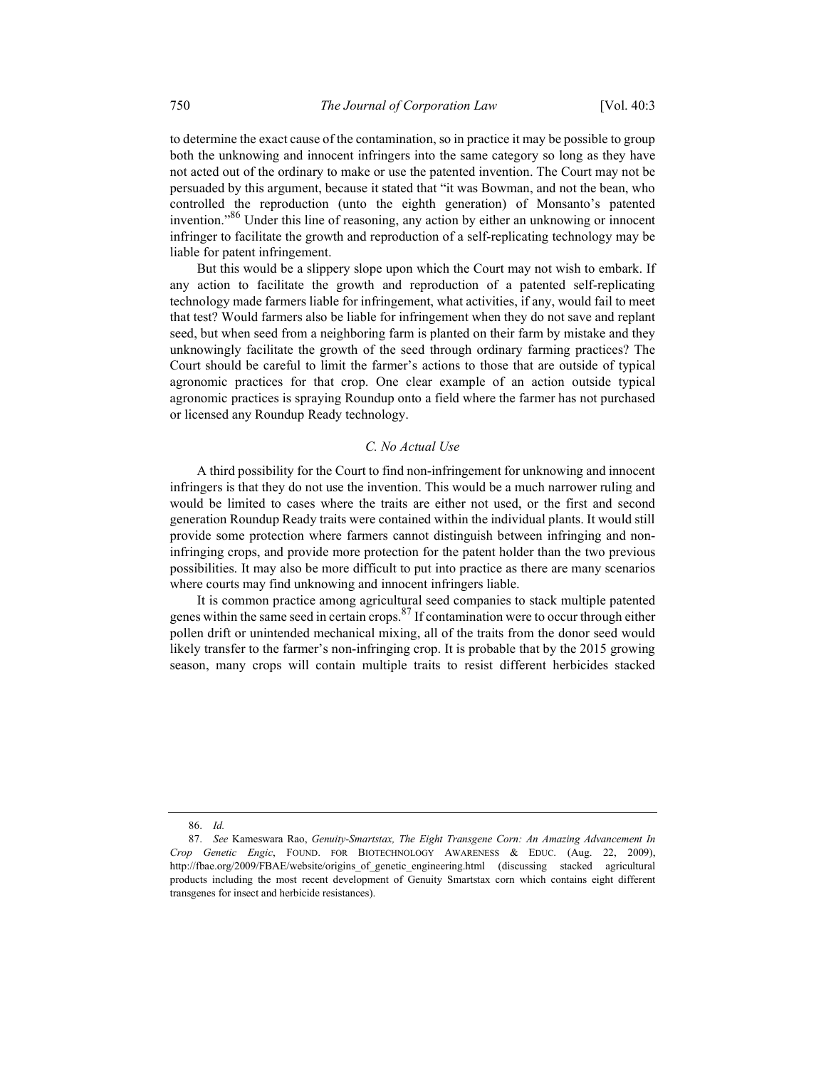to determine the exact cause of the contamination, so in practice it may be possible to group both the unknowing and innocent infringers into the same category so long as they have not acted out of the ordinary to make or use the patented invention. The Court may not be persuaded by this argument, because it stated that "it was Bowman, and not the bean, who controlled the reproduction (unto the eighth generation) of Monsanto's patented invention."86 Under this line of reasoning, any action by either an unknowing or innocent infringer to facilitate the growth and reproduction of a self-replicating technology may be liable for patent infringement.

But this would be a slippery slope upon which the Court may not wish to embark. If any action to facilitate the growth and reproduction of a patented self-replicating technology made farmers liable for infringement, what activities, if any, would fail to meet that test? Would farmers also be liable for infringement when they do not save and replant seed, but when seed from a neighboring farm is planted on their farm by mistake and they unknowingly facilitate the growth of the seed through ordinary farming practices? The Court should be careful to limit the farmer's actions to those that are outside of typical agronomic practices for that crop. One clear example of an action outside typical agronomic practices is spraying Roundup onto a field where the farmer has not purchased or licensed any Roundup Ready technology.

#### C. No Actual Use

A third possibility for the Court to find non-infringement for unknowing and innocent infringers is that they do not use the invention. This would be a much narrower ruling and would be limited to cases where the traits are either not used, or the first and second generation Roundup Ready traits were contained within the individual plants. It would still provide some protection where farmers cannot distinguish between infringing and noninfringing crops, and provide more protection for the patent holder than the two previous possibilities. It may also be more difficult to put into practice as there are many scenarios where courts may find unknowing and innocent infringers liable.

It is common practice among agricultural seed companies to stack multiple patented genes within the same seed in certain crops.<sup>87</sup> If contamination were to occur through either pollen drift or unintended mechanical mixing, all of the traits from the donor seed would likely transfer to the farmer's non-infringing crop. It is probable that by the 2015 growing season, many crops will contain multiple traits to resist different herbicides stacked

 <sup>86.</sup> Id.

 <sup>87.</sup> See Kameswara Rao, Genuity-Smartstax, The Eight Transgene Corn: An Amazing Advancement In Crop Genetic Engic, FOUND. FOR BIOTECHNOLOGY AWARENESS & EDUC. (Aug. 22, 2009), http://fbae.org/2009/FBAE/website/origins\_of\_genetic\_engineering.html (discussing stacked agricultural products including the most recent development of Genuity Smartstax corn which contains eight different transgenes for insect and herbicide resistances).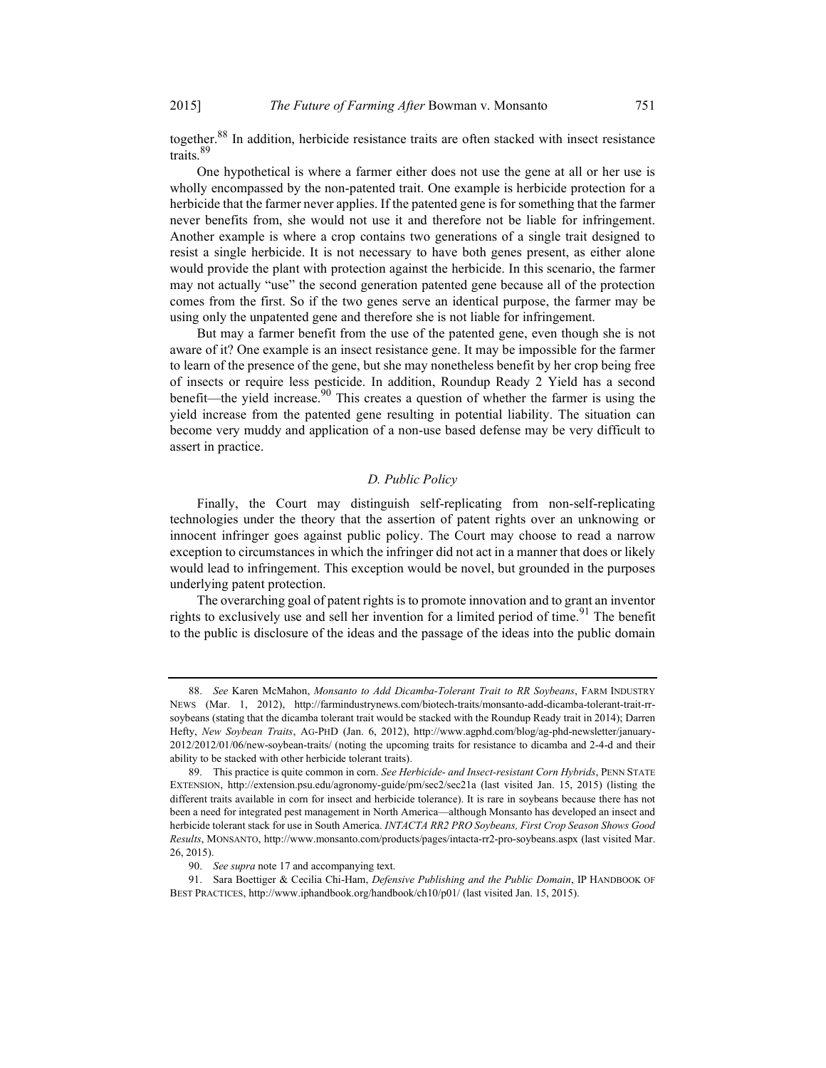together.<sup>88</sup> In addition, herbicide resistance traits are often stacked with insect resistance traits.<sup>89</sup>

One hypothetical is where a farmer either does not use the gene at all or her use is wholly encompassed by the non-patented trait. One example is herbicide protection for a herbicide that the farmer never applies. If the patented gene is for something that the farmer never benefits from, she would not use it and therefore not be liable for infringement. Another example is where a crop contains two generations of a single trait designed to resist a single herbicide. It is not necessary to have both genes present, as either alone would provide the plant with protection against the herbicide. In this scenario, the farmer may not actually "use" the second generation patented gene because all of the protection comes from the first. So if the two genes serve an identical purpose, the farmer may be using only the unpatented gene and therefore she is not liable for infringement.

But may a farmer benefit from the use of the patented gene, even though she is not aware of it? One example is an insect resistance gene. It may be impossible for the farmer to learn of the presence of the gene, but she may nonetheless benefit by her crop being free of insects or require less pesticide. In addition, Roundup Ready 2 Yield has a second benefit—the yield increase.<sup>90</sup> This creates a question of whether the farmer is using the yield increase from the patented gene resulting in potential liability. The situation can become very muddy and application of a non-use based defense may be very difficult to assert in practice.

#### D. Public Policy

Finally, the Court may distinguish self-replicating from non-self-replicating technologies under the theory that the assertion of patent rights over an unknowing or innocent infringer goes against public policy. The Court may choose to read a narrow exception to circumstances in which the infringer did not act in a manner that does or likely would lead to infringement. This exception would be novel, but grounded in the purposes underlying patent protection.

The overarching goal of patent rights is to promote innovation and to grant an inventor rights to exclusively use and sell her invention for a limited period of time.<sup>91</sup> The benefit to the public is disclosure of the ideas and the passage of the ideas into the public domain

<sup>88.</sup> See Karen McMahon, Monsanto to Add Dicamba-Tolerant Trait to RR Soybeans, FARM INDUSTRY NEWS (Mar. 1, 2012), http://farmindustrynews.com/biotech-traits/monsanto-add-dicamba-tolerant-trait-rrsoybeans (stating that the dicamba tolerant trait would be stacked with the Roundup Ready trait in 2014); Darren Hefty, New Soybean Traits, AG-PHD (Jan. 6, 2012), http://www.agphd.com/blog/ag-phd-newsletter/january-2012/2012/01/06/new-soybean-traits/ (noting the upcoming traits for resistance to dicamba and 2-4-d and their ability to be stacked with other herbicide tolerant traits).

<sup>89.</sup> This practice is quite common in corn. See Herbicide- and Insect-resistant Corn Hybrids, PENN STATE EXTENSION, http://extension.psu.edu/agronomy-guide/pm/sec2/sec21a (last visited Jan. 15, 2015) (listing the different traits available in corn for insect and herbicide tolerance). It is rare in soybeans because there has not been a need for integrated pest management in North America—although Monsanto has developed an insect and herbicide tolerant stack for use in South America. INTACTA RR2 PRO Soybeans, First Crop Season Shows Good Results, MONSANTO, http://www.monsanto.com/products/pages/intacta-rr2-pro-soybeans.aspx (last visited Mar. 26, 2015).

 <sup>90.</sup> See supra note 17 and accompanying text.

<sup>91.</sup> Sara Boettiger & Cecilia Chi-Ham, *Defensive Publishing and the Public Domain*, IP HANDBOOK OF BEST PRACTICES, http://www.iphandbook.org/handbook/ch10/p01/ (last visited Jan. 15, 2015).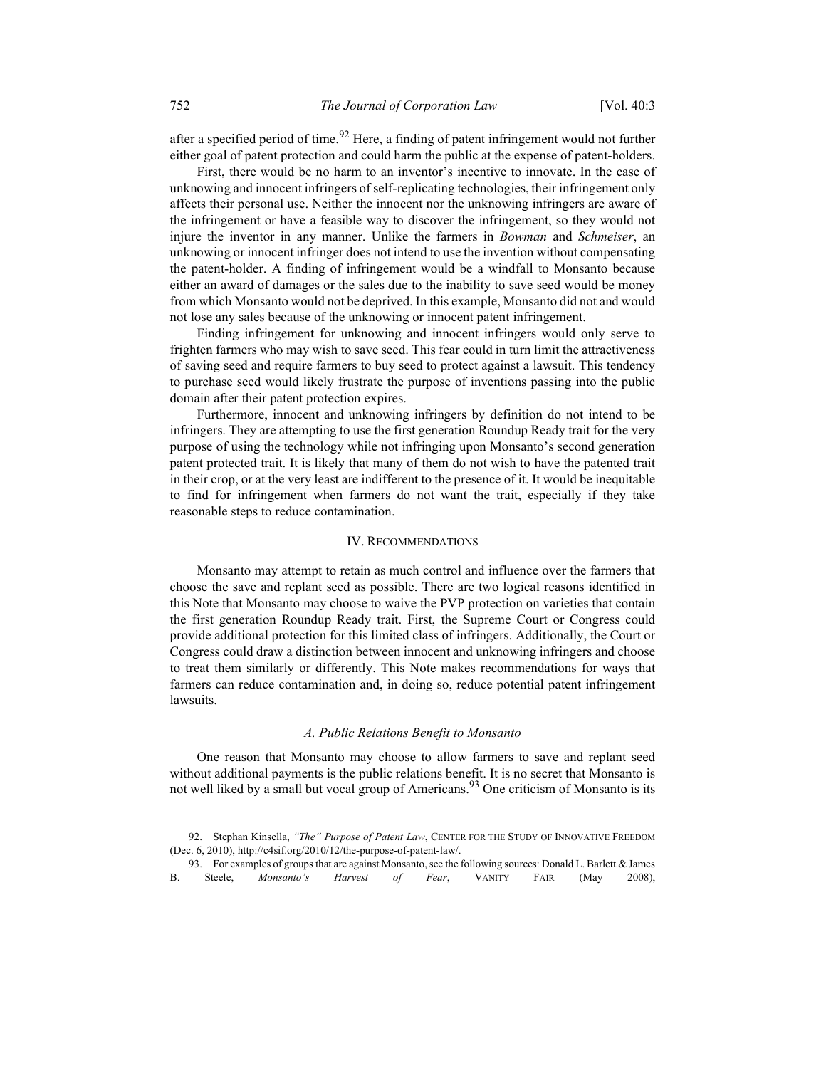after a specified period of time.<sup>92</sup> Here, a finding of patent infringement would not further either goal of patent protection and could harm the public at the expense of patent-holders.

First, there would be no harm to an inventor's incentive to innovate. In the case of unknowing and innocent infringers of self-replicating technologies, their infringement only affects their personal use. Neither the innocent nor the unknowing infringers are aware of the infringement or have a feasible way to discover the infringement, so they would not injure the inventor in any manner. Unlike the farmers in *Bowman* and *Schmeiser*, an unknowing or innocent infringer does not intend to use the invention without compensating the patent-holder. A finding of infringement would be a windfall to Monsanto because either an award of damages or the sales due to the inability to save seed would be money from which Monsanto would not be deprived. In this example, Monsanto did not and would not lose any sales because of the unknowing or innocent patent infringement.

Finding infringement for unknowing and innocent infringers would only serve to frighten farmers who may wish to save seed. This fear could in turn limit the attractiveness of saving seed and require farmers to buy seed to protect against a lawsuit. This tendency to purchase seed would likely frustrate the purpose of inventions passing into the public domain after their patent protection expires.

Furthermore, innocent and unknowing infringers by definition do not intend to be infringers. They are attempting to use the first generation Roundup Ready trait for the very purpose of using the technology while not infringing upon Monsanto's second generation patent protected trait. It is likely that many of them do not wish to have the patented trait in their crop, or at the very least are indifferent to the presence of it. It would be inequitable to find for infringement when farmers do not want the trait, especially if they take reasonable steps to reduce contamination.

#### IV. RECOMMENDATIONS

Monsanto may attempt to retain as much control and influence over the farmers that choose the save and replant seed as possible. There are two logical reasons identified in this Note that Monsanto may choose to waive the PVP protection on varieties that contain the first generation Roundup Ready trait. First, the Supreme Court or Congress could provide additional protection for this limited class of infringers. Additionally, the Court or Congress could draw a distinction between innocent and unknowing infringers and choose to treat them similarly or differently. This Note makes recommendations for ways that farmers can reduce contamination and, in doing so, reduce potential patent infringement lawsuits.

#### A. Public Relations Benefit to Monsanto

One reason that Monsanto may choose to allow farmers to save and replant seed without additional payments is the public relations benefit. It is no secret that Monsanto is not well liked by a small but vocal group of Americans.<sup>93</sup> One criticism of Monsanto is its

<sup>92.</sup> Stephan Kinsella, "The" Purpose of Patent Law, CENTER FOR THE STUDY OF INNOVATIVE FREEDOM (Dec. 6, 2010), http://c4sif.org/2010/12/the-purpose-of-patent-law/.

 <sup>93.</sup> For examples of groups that are against Monsanto, see the following sources: Donald L. Barlett & James B. Steele, *Monsanto's Harvest of Fear*, VANITY FAIR (May 2008),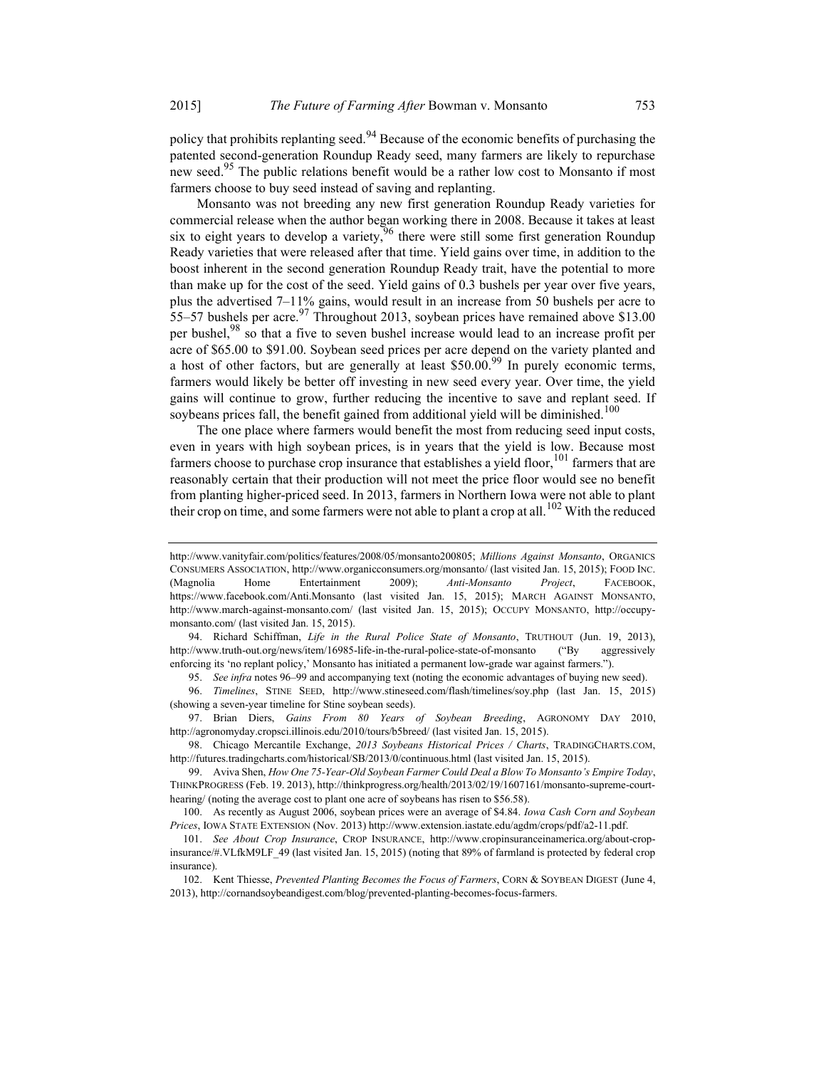policy that prohibits replanting seed.<sup>94</sup> Because of the economic benefits of purchasing the patented second-generation Roundup Ready seed, many farmers are likely to repurchase new seed.<sup>95</sup> The public relations benefit would be a rather low cost to Monsanto if most farmers choose to buy seed instead of saving and replanting.

Monsanto was not breeding any new first generation Roundup Ready varieties for commercial release when the author began working there in 2008. Because it takes at least six to eight years to develop a variety,  $96$  there were still some first generation Roundup Ready varieties that were released after that time. Yield gains over time, in addition to the boost inherent in the second generation Roundup Ready trait, have the potential to more than make up for the cost of the seed. Yield gains of 0.3 bushels per year over five years, plus the advertised 7–11% gains, would result in an increase from 50 bushels per acre to 55–57 bushels per acre.<sup>97</sup> Throughout 2013, soybean prices have remained above \$13.00 per bushel,<sup>98</sup> so that a five to seven bushel increase would lead to an increase profit per acre of \$65.00 to \$91.00. Soybean seed prices per acre depend on the variety planted and a host of other factors, but are generally at least \$50.00.<sup>99</sup> In purely economic terms, farmers would likely be better off investing in new seed every year. Over time, the yield gains will continue to grow, further reducing the incentive to save and replant seed. If soybeans prices fall, the benefit gained from additional yield will be diminished.<sup>100</sup>

The one place where farmers would benefit the most from reducing seed input costs, even in years with high soybean prices, is in years that the yield is low. Because most farmers choose to purchase crop insurance that establishes a yield floor,  $101$  farmers that are reasonably certain that their production will not meet the price floor would see no benefit from planting higher-priced seed. In 2013, farmers in Northern Iowa were not able to plant their crop on time, and some farmers were not able to plant a crop at all.<sup>102</sup> With the reduced

95. See infra notes 96–99 and accompanying text (noting the economic advantages of buying new seed).

http://www.vanityfair.com/politics/features/2008/05/monsanto200805; Millions Against Monsanto, ORGANICS CONSUMERS ASSOCIATION, http://www.organicconsumers.org/monsanto/ (last visited Jan. 15, 2015); FOOD INC. (Magnolia Home Entertainment 2009); Anti-Monsanto Project, FACEBOOK, https://www.facebook.com/Anti.Monsanto (last visited Jan. 15, 2015); MARCH AGAINST MONSANTO, http://www.march-against-monsanto.com/ (last visited Jan. 15, 2015); OCCUPY MONSANTO, http://occupymonsanto.com/ (last visited Jan. 15, 2015).

<sup>94.</sup> Richard Schiffman, Life in the Rural Police State of Monsanto, TRUTHOUT (Jun. 19, 2013), http://www.truth-out.org/news/item/16985-life-in-the-rural-police-state-of-monsanto ("By aggressively enforcing its 'no replant policy,' Monsanto has initiated a permanent low-grade war against farmers.").

 <sup>96.</sup> Timelines, STINE SEED, http://www.stineseed.com/flash/timelines/soy.php (last Jan. 15, 2015) (showing a seven-year timeline for Stine soybean seeds).

 <sup>97.</sup> Brian Diers, Gains From 80 Years of Soybean Breeding, AGRONOMY DAY 2010, http://agronomyday.cropsci.illinois.edu/2010/tours/b5breed/ (last visited Jan. 15, 2015).

<sup>98.</sup> Chicago Mercantile Exchange, 2013 Soybeans Historical Prices / Charts, TRADINGCHARTS.COM, http://futures.tradingcharts.com/historical/SB/2013/0/continuous.html (last visited Jan. 15, 2015).

 <sup>99.</sup> Aviva Shen, How One 75-Year-Old Soybean Farmer Could Deal a Blow To Monsanto's Empire Today, THINKPROGRESS (Feb. 19. 2013), http://thinkprogress.org/health/2013/02/19/1607161/monsanto-supreme-courthearing/ (noting the average cost to plant one acre of soybeans has risen to \$56.58).

 <sup>100.</sup> As recently as August 2006, soybean prices were an average of \$4.84. Iowa Cash Corn and Soybean Prices, IOWA STATE EXTENSION (Nov. 2013) http://www.extension.iastate.edu/agdm/crops/pdf/a2-11.pdf.

 <sup>101.</sup> See About Crop Insurance, CROP INSURANCE, http://www.cropinsuranceinamerica.org/about-cropinsurance/#.VLfkM9LF\_49 (last visited Jan. 15, 2015) (noting that 89% of farmland is protected by federal crop insurance).

<sup>102.</sup> Kent Thiesse, Prevented Planting Becomes the Focus of Farmers, CORN & SOYBEAN DIGEST (June 4, 2013), http://cornandsoybeandigest.com/blog/prevented-planting-becomes-focus-farmers.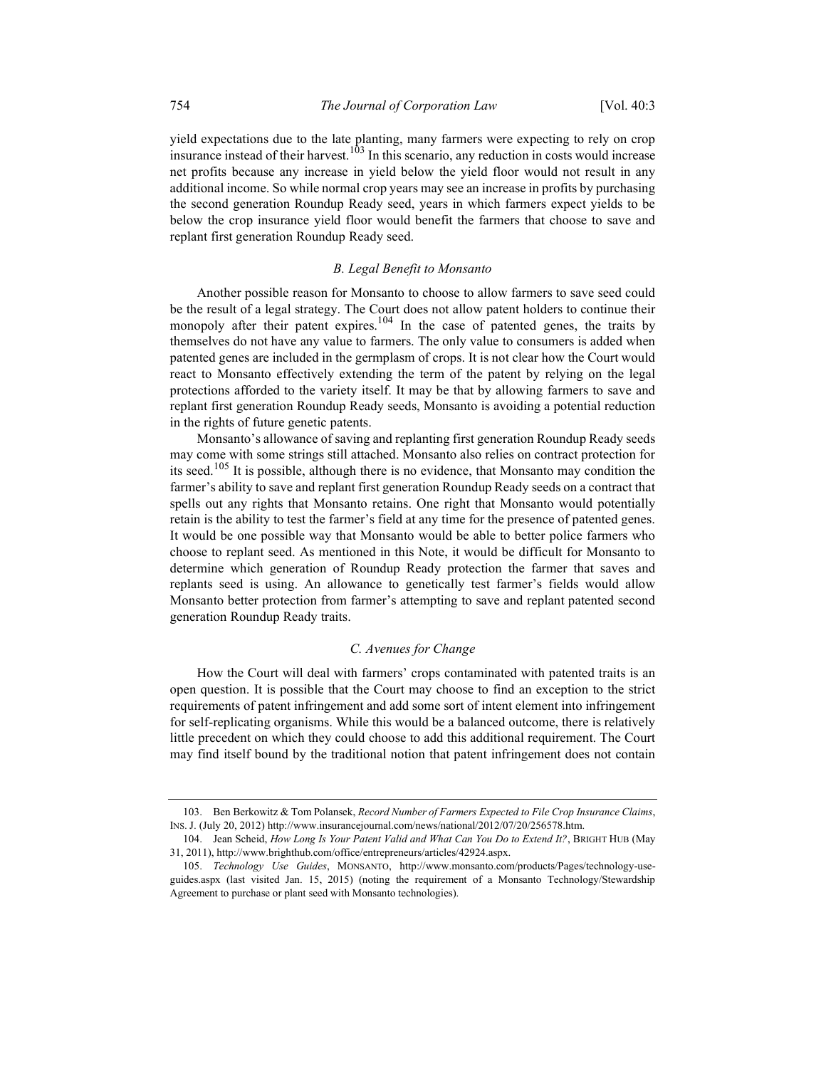yield expectations due to the late planting, many farmers were expecting to rely on crop insurance instead of their harvest.<sup>103</sup> In this scenario, any reduction in costs would increase net profits because any increase in yield below the yield floor would not result in any additional income. So while normal crop years may see an increase in profits by purchasing the second generation Roundup Ready seed, years in which farmers expect yields to be below the crop insurance yield floor would benefit the farmers that choose to save and replant first generation Roundup Ready seed.

#### B. Legal Benefit to Monsanto

Another possible reason for Monsanto to choose to allow farmers to save seed could be the result of a legal strategy. The Court does not allow patent holders to continue their monopoly after their patent expires.<sup>104</sup> In the case of patented genes, the traits by themselves do not have any value to farmers. The only value to consumers is added when patented genes are included in the germplasm of crops. It is not clear how the Court would react to Monsanto effectively extending the term of the patent by relying on the legal protections afforded to the variety itself. It may be that by allowing farmers to save and replant first generation Roundup Ready seeds, Monsanto is avoiding a potential reduction in the rights of future genetic patents.

Monsanto's allowance of saving and replanting first generation Roundup Ready seeds may come with some strings still attached. Monsanto also relies on contract protection for its seed.<sup>105</sup> It is possible, although there is no evidence, that Monsanto may condition the farmer's ability to save and replant first generation Roundup Ready seeds on a contract that spells out any rights that Monsanto retains. One right that Monsanto would potentially retain is the ability to test the farmer's field at any time for the presence of patented genes. It would be one possible way that Monsanto would be able to better police farmers who choose to replant seed. As mentioned in this Note, it would be difficult for Monsanto to determine which generation of Roundup Ready protection the farmer that saves and replants seed is using. An allowance to genetically test farmer's fields would allow Monsanto better protection from farmer's attempting to save and replant patented second generation Roundup Ready traits.

#### C. Avenues for Change

How the Court will deal with farmers' crops contaminated with patented traits is an open question. It is possible that the Court may choose to find an exception to the strict requirements of patent infringement and add some sort of intent element into infringement for self-replicating organisms. While this would be a balanced outcome, there is relatively little precedent on which they could choose to add this additional requirement. The Court may find itself bound by the traditional notion that patent infringement does not contain

<sup>103.</sup> Ben Berkowitz & Tom Polansek, Record Number of Farmers Expected to File Crop Insurance Claims, INS. J. (July 20, 2012) http://www.insurancejournal.com/news/national/2012/07/20/256578.htm.

 <sup>104.</sup> Jean Scheid, How Long Is Your Patent Valid and What Can You Do to Extend It?, BRIGHT HUB (May 31, 2011), http://www.brighthub.com/office/entrepreneurs/articles/42924.aspx.

 <sup>105.</sup> Technology Use Guides, MONSANTO, http://www.monsanto.com/products/Pages/technology-useguides.aspx (last visited Jan. 15, 2015) (noting the requirement of a Monsanto Technology/Stewardship Agreement to purchase or plant seed with Monsanto technologies).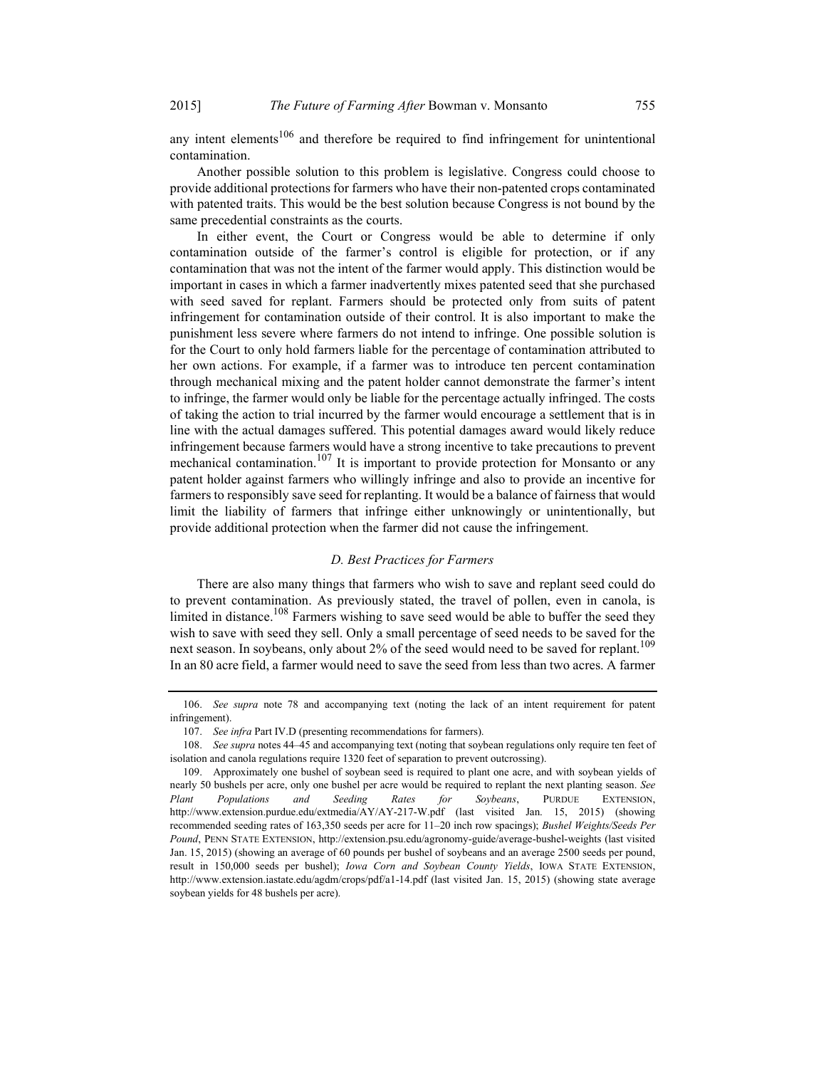any intent elements<sup>106</sup> and therefore be required to find infringement for unintentional contamination.

Another possible solution to this problem is legislative. Congress could choose to provide additional protections for farmers who have their non-patented crops contaminated with patented traits. This would be the best solution because Congress is not bound by the same precedential constraints as the courts.

In either event, the Court or Congress would be able to determine if only contamination outside of the farmer's control is eligible for protection, or if any contamination that was not the intent of the farmer would apply. This distinction would be important in cases in which a farmer inadvertently mixes patented seed that she purchased with seed saved for replant. Farmers should be protected only from suits of patent infringement for contamination outside of their control. It is also important to make the punishment less severe where farmers do not intend to infringe. One possible solution is for the Court to only hold farmers liable for the percentage of contamination attributed to her own actions. For example, if a farmer was to introduce ten percent contamination through mechanical mixing and the patent holder cannot demonstrate the farmer's intent to infringe, the farmer would only be liable for the percentage actually infringed. The costs of taking the action to trial incurred by the farmer would encourage a settlement that is in line with the actual damages suffered. This potential damages award would likely reduce infringement because farmers would have a strong incentive to take precautions to prevent mechanical contamination.<sup>107</sup> It is important to provide protection for Monsanto or any patent holder against farmers who willingly infringe and also to provide an incentive for farmers to responsibly save seed for replanting. It would be a balance of fairness that would limit the liability of farmers that infringe either unknowingly or unintentionally, but provide additional protection when the farmer did not cause the infringement.

#### D. Best Practices for Farmers

There are also many things that farmers who wish to save and replant seed could do to prevent contamination. As previously stated, the travel of pollen, even in canola, is limited in distance.<sup>108</sup> Farmers wishing to save seed would be able to buffer the seed they wish to save with seed they sell. Only a small percentage of seed needs to be saved for the next season. In soybeans, only about 2% of the seed would need to be saved for replant.<sup>109</sup> In an 80 acre field, a farmer would need to save the seed from less than two acres. A farmer

 <sup>106.</sup> See supra note 78 and accompanying text (noting the lack of an intent requirement for patent infringement).

 <sup>107.</sup> See infra Part IV.D (presenting recommendations for farmers).

<sup>108.</sup> See supra notes 44–45 and accompanying text (noting that soybean regulations only require ten feet of isolation and canola regulations require 1320 feet of separation to prevent outcrossing).

 <sup>109.</sup> Approximately one bushel of soybean seed is required to plant one acre, and with soybean yields of nearly 50 bushels per acre, only one bushel per acre would be required to replant the next planting season. See Plant Populations and Seeding Rates for Soybeans, PURDUE EXTENSION, http://www.extension.purdue.edu/extmedia/AY/AY-217-W.pdf (last visited Jan. 15, 2015) (showing recommended seeding rates of 163,350 seeds per acre for 11–20 inch row spacings); Bushel Weights/Seeds Per Pound, PENN STATE EXTENSION, http://extension.psu.edu/agronomy-guide/average-bushel-weights (last visited Jan. 15, 2015) (showing an average of 60 pounds per bushel of soybeans and an average 2500 seeds per pound, result in 150,000 seeds per bushel); Iowa Corn and Soybean County Yields, IOWA STATE EXTENSION, http://www.extension.iastate.edu/agdm/crops/pdf/a1-14.pdf (last visited Jan. 15, 2015) (showing state average soybean yields for 48 bushels per acre).